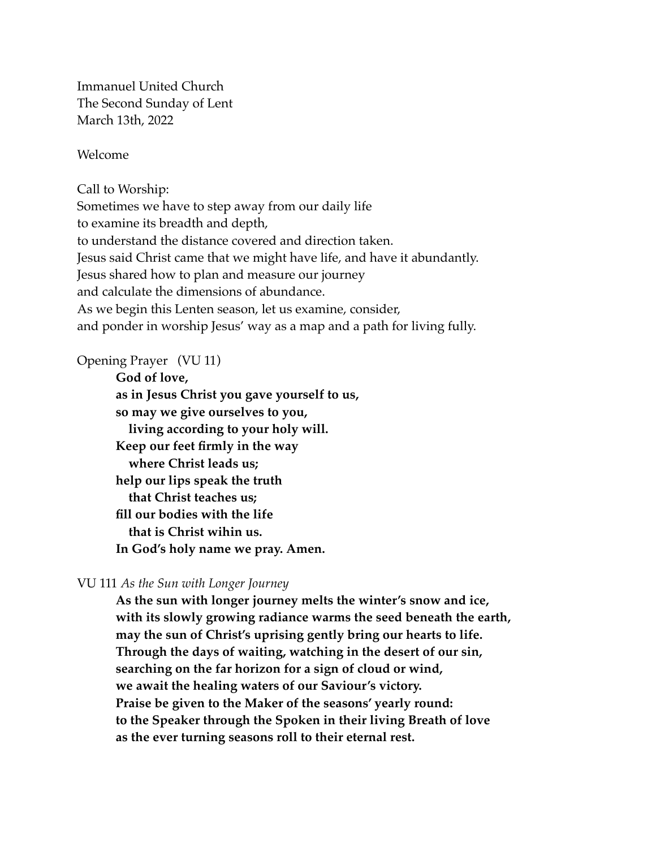Immanuel United Church The Second Sunday of Lent March 13th, 2022

Welcome

Call to Worship:

Sometimes we have to step away from our daily life to examine its breadth and depth, to understand the distance covered and direction taken. Jesus said Christ came that we might have life, and have it abundantly. Jesus shared how to plan and measure our journey and calculate the dimensions of abundance. As we begin this Lenten season, let us examine, consider, and ponder in worship Jesus' way as a map and a path for living fully.

#### Opening Prayer (VU 11)

**God of love, as in Jesus Christ you gave yourself to us, so may we give ourselves to you, living according to your holy will. Keep our feet firmly in the way where Christ leads us; help our lips speak the truth that Christ teaches us; fill our bodies with the life that is Christ wihin us. In God's holy name we pray. Amen.** 

#### VU 111 *As the Sun with Longer Journey*

**As the sun with longer journey melts the winter's snow and ice, with its slowly growing radiance warms the seed beneath the earth, may the sun of Christ's uprising gently bring our hearts to life. Through the days of waiting, watching in the desert of our sin, searching on the far horizon for a sign of cloud or wind, we await the healing waters of our Saviour's victory. Praise be given to the Maker of the seasons' yearly round: to the Speaker through the Spoken in their living Breath of love as the ever turning seasons roll to their eternal rest.**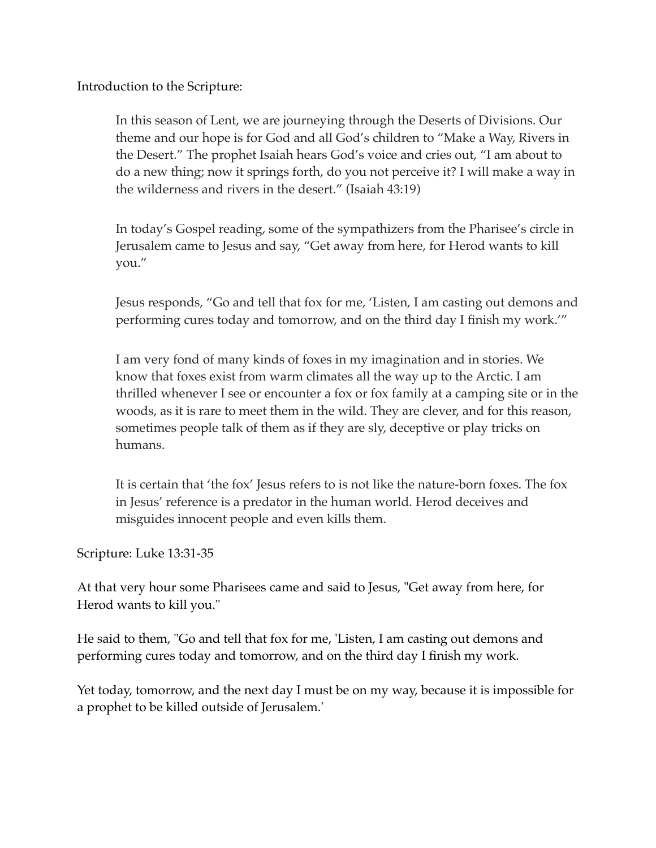Introduction to the Scripture:

In this season of Lent, we are journeying through the Deserts of Divisions. Our theme and our hope is for God and all God's children to "Make a Way, Rivers in the Desert." The prophet Isaiah hears God's voice and cries out, "I am about to do a new thing; now it springs forth, do you not perceive it? I will make a way in the wilderness and rivers in the desert." (Isaiah 43:19)

In today's Gospel reading, some of the sympathizers from the Pharisee's circle in Jerusalem came to Jesus and say, "Get away from here, for Herod wants to kill you."

Jesus responds, "Go and tell that fox for me, 'Listen, I am casting out demons and performing cures today and tomorrow, and on the third day I finish my work.'"

I am very fond of many kinds of foxes in my imagination and in stories. We know that foxes exist from warm climates all the way up to the Arctic. I am thrilled whenever I see or encounter a fox or fox family at a camping site or in the woods, as it is rare to meet them in the wild. They are clever, and for this reason, sometimes people talk of them as if they are sly, deceptive or play tricks on humans.

It is certain that 'the fox' Jesus refers to is not like the nature-born foxes. The fox in Jesus' reference is a predator in the human world. Herod deceives and misguides innocent people and even kills them.

Scripture: Luke 13:31-35

At that very hour some Pharisees came and said to Jesus, "Get away from here, for Herod wants to kill you."

He said to them, "Go and tell that fox for me, 'Listen, I am casting out demons and performing cures today and tomorrow, and on the third day I finish my work.

Yet today, tomorrow, and the next day I must be on my way, because it is impossible for a prophet to be killed outside of Jerusalem.'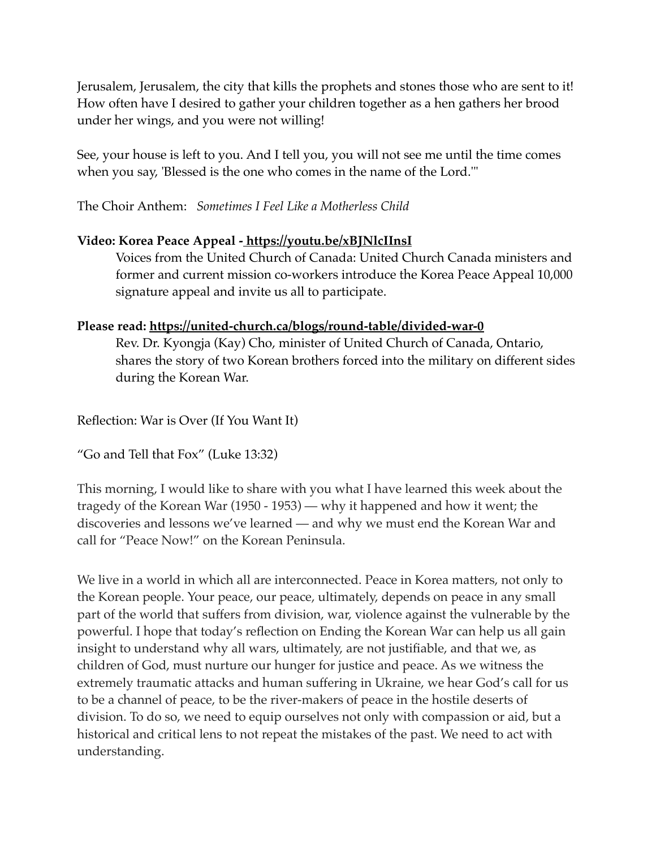Jerusalem, Jerusalem, the city that kills the prophets and stones those who are sent to it! How often have I desired to gather your children together as a hen gathers her brood under her wings, and you were not willing!

See, your house is left to you. And I tell you, you will not see me until the time comes when you say, 'Blessed is the one who comes in the name of the Lord.'"

The Choir Anthem: *Sometimes I Feel Like a Motherless Child*

# **Video: Korea Peace Appeal - <https://youtu.be/xBJNlcIInsI>**

Voices from the United Church of Canada: United Church Canada ministers and former and current mission co-workers introduce the Korea Peace Appeal 10,000 signature appeal and invite us all to participate.

### **Please read: <https://united-church.ca/blogs/round-table/divided-war-0>**

Rev. Dr. Kyongja (Kay) Cho, minister of United Church of Canada, Ontario, shares the story of two Korean brothers forced into the military on different sides during the Korean War.

Reflection: War is Over (If You Want It)

"Go and Tell that Fox" (Luke 13:32)

This morning, I would like to share with you what I have learned this week about the tragedy of the Korean War (1950 - 1953) — why it happened and how it went; the discoveries and lessons we've learned — and why we must end the Korean War and call for "Peace Now!" on the Korean Peninsula.

We live in a world in which all are interconnected. Peace in Korea matters, not only to the Korean people. Your peace, our peace, ultimately, depends on peace in any small part of the world that suffers from division, war, violence against the vulnerable by the powerful. I hope that today's reflection on Ending the Korean War can help us all gain insight to understand why all wars, ultimately, are not justifiable, and that we, as children of God, must nurture our hunger for justice and peace. As we witness the extremely traumatic attacks and human suffering in Ukraine, we hear God's call for us to be a channel of peace, to be the river-makers of peace in the hostile deserts of division. To do so, we need to equip ourselves not only with compassion or aid, but a historical and critical lens to not repeat the mistakes of the past. We need to act with understanding.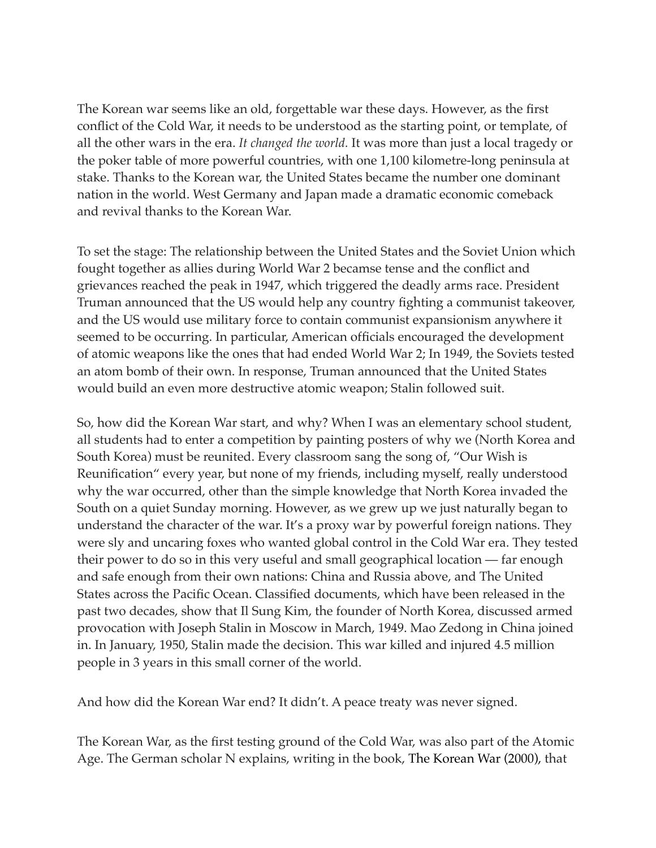The Korean war seems like an old, forgettable war these days. However, as the first conflict of the Cold War, it needs to be understood as the starting point, or template, of all the other wars in the era. *It changed the world.* It was more than just a local tragedy or the poker table of more powerful countries, with one 1,100 kilometre-long peninsula at stake. Thanks to the Korean war, the United States became the number one dominant nation in the world. West Germany and Japan made a dramatic economic comeback and revival thanks to the Korean War.

To set the stage: The relationship between the United States and the Soviet Union which fought together as allies during World War 2 becamse tense and the conflict and grievances reached the peak in 1947, which triggered the deadly arms race. President Truman announced that the US would help any country fighting a communist takeover, and the US would use military force to contain communist expansionism anywhere it seemed to be occurring. In particular, American officials encouraged the development of atomic weapons like the ones that had ended World War 2; In 1949, the Soviets tested an atom bomb of their own. In response, Truman announced that the United States would build an even more destructive atomic weapon; Stalin followed suit.

So, how did the Korean War start, and why? When I was an elementary school student, all students had to enter a competition by painting posters of why we (North Korea and South Korea) must be reunited. Every classroom sang the song of, "Our Wish is Reunification" every year, but none of my friends, including myself, really understood why the war occurred, other than the simple knowledge that North Korea invaded the South on a quiet Sunday morning. However, as we grew up we just naturally began to understand the character of the war. It's a proxy war by powerful foreign nations. They were sly and uncaring foxes who wanted global control in the Cold War era. They tested their power to do so in this very useful and small geographical location — far enough and safe enough from their own nations: China and Russia above, and The United States across the Pacific Ocean. Classified documents, which have been released in the past two decades, show that Il Sung Kim, the founder of North Korea, discussed armed provocation with Joseph Stalin in Moscow in March, 1949. Mao Zedong in China joined in. In January, 1950, Stalin made the decision. This war killed and injured 4.5 million people in 3 years in this small corner of the world.

And how did the Korean War end? It didn't. A peace treaty was never signed.

The Korean War, as the first testing ground of the Cold War, was also part of the Atomic Age. The German scholar N explains, writing in the book, The Korean War (2000), that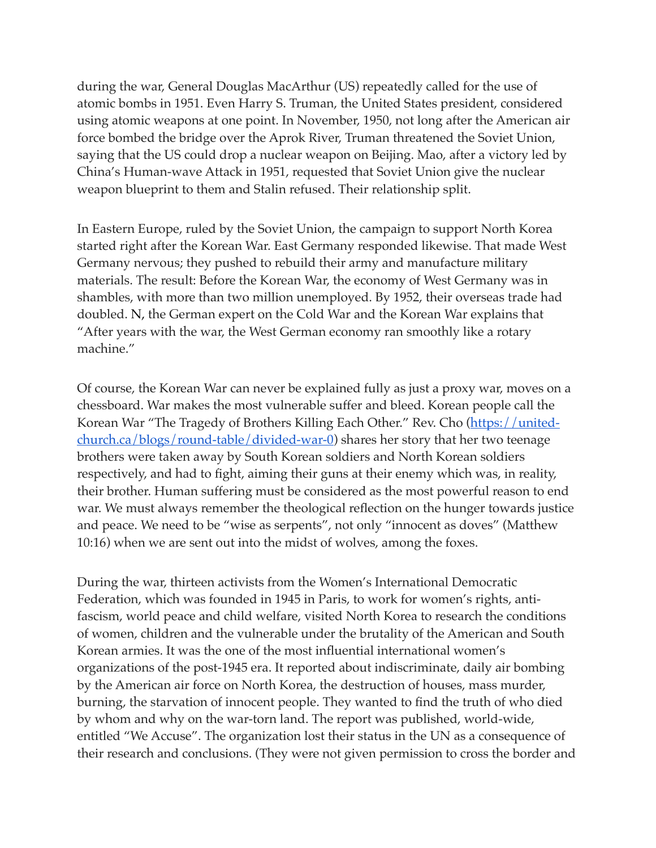during the war, General Douglas MacArthur (US) repeatedly called for the use of atomic bombs in 1951. Even Harry S. Truman, the United States president, considered using atomic weapons at one point. In November, 1950, not long after the American air force bombed the bridge over the Aprok River, Truman threatened the Soviet Union, saying that the US could drop a nuclear weapon on Beijing. Mao, after a victory led by China's Human-wave Attack in 1951, requested that Soviet Union give the nuclear weapon blueprint to them and Stalin refused. Their relationship split.

In Eastern Europe, ruled by the Soviet Union, the campaign to support North Korea started right after the Korean War. East Germany responded likewise. That made West Germany nervous; they pushed to rebuild their army and manufacture military materials. The result: Before the Korean War, the economy of West Germany was in shambles, with more than two million unemployed. By 1952, their overseas trade had doubled. N, the German expert on the Cold War and the Korean War explains that "After years with the war, the West German economy ran smoothly like a rotary machine."

Of course, the Korean War can never be explained fully as just a proxy war, moves on a chessboard. War makes the most vulnerable suffer and bleed. Korean people call the Korean War "The Tragedy of Brothers Killing Each Other." Rev. Cho (*https://united*[church.ca/blogs/round-table/divided-war-0](https://united-church.ca/blogs/round-table/divided-war-0)) shares her story that her two teenage brothers were taken away by South Korean soldiers and North Korean soldiers respectively, and had to fight, aiming their guns at their enemy which was, in reality, their brother. Human suffering must be considered as the most powerful reason to end war. We must always remember the theological reflection on the hunger towards justice and peace. We need to be "wise as serpents", not only "innocent as doves" (Matthew 10:16) when we are sent out into the midst of wolves, among the foxes.

During the war, thirteen activists from the Women's International Democratic Federation, which was founded in 1945 in Paris, to work for women's rights, antifascism, world peace and child welfare, visited North Korea to research the conditions of women, children and the vulnerable under the brutality of the American and South Korean armies. It was the one of the most influential international women's organizations of the post-1945 era. It reported about indiscriminate, daily air bombing by the American air force on North Korea, the destruction of houses, mass murder, burning, the starvation of innocent people. They wanted to find the truth of who died by whom and why on the war-torn land. The report was published, world-wide, entitled "We Accuse". The organization lost their status in the UN as a consequence of their research and conclusions. (They were not given permission to cross the border and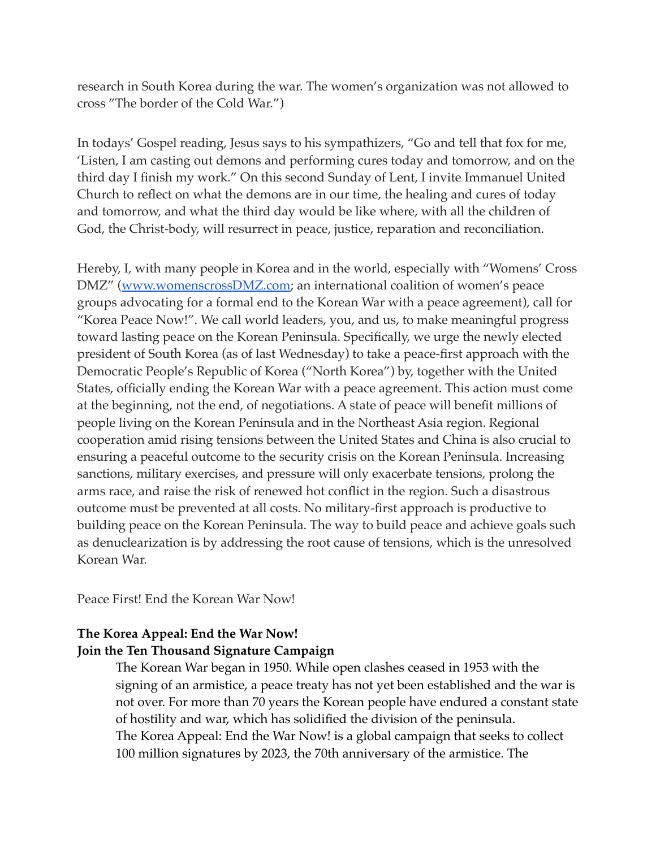research in South Korea during the war. The women's organization was not allowed to cross "The border of the Cold War.")

In todays' Gospel reading, Jesus says to his sympathizers, "Go and tell that fox for me, 'Listen, I am casting out demons and performing cures today and tomorrow, and on the third day I finish my work." On this second Sunday of Lent, I invite Immanuel United Church to reflect on what the demons are in our time, the healing and cures of today and tomorrow, and what the third day would be like where, with all the children of God, the Christ-body, will resurrect in peace, justice, reparation and reconciliation.

Hereby, I, with many people in Korea and in the world, especially with "Womens' Cross DMZ" ([www.womenscrossDMZ.com](http://www.womenscrossdmz.com/); an international coalition of women's peace groups advocating for a formal end to the Korean War with a peace agreement), call for "Korea Peace Now!". We call world leaders, you, and us, to make meaningful progress toward lasting peace on the Korean Peninsula. Specifically, we urge the newly elected president of South Korea (as of last Wednesday) to take a peace-first approach with the Democratic People's Republic of Korea ("North Korea") by, together with the United States, officially ending the Korean War with a peace agreement. This action must come at the beginning, not the end, of negotiations. A state of peace will benefit millions of people living on the Korean Peninsula and in the Northeast Asia region. Regional cooperation amid rising tensions between the United States and China is also crucial to ensuring a peaceful outcome to the security crisis on the Korean Peninsula. Increasing sanctions, military exercises, and pressure will only exacerbate tensions, prolong the arms race, and raise the risk of renewed hot conflict in the region. Such a disastrous outcome must be prevented at all costs. No military-first approach is productive to building peace on the Korean Peninsula. The way to build peace and achieve goals such as denuclearization is by addressing the root cause of tensions, which is the unresolved Korean War.

Peace First! End the Korean War Now!

# **The Korea Appeal: End the War Now! Join the Ten Thousand Signature Campaign**

The Korean War began in 1950. While open clashes ceased in 1953 with the signing of an armistice, a peace treaty has not yet been established and the war is not over. For more than 70 years the Korean people have endured a constant state of hostility and war, which has solidified the division of the peninsula. The Korea Appeal: End the War Now! is a global campaign that seeks to collect 100 million signatures by 2023, the 70th anniversary of the armistice. The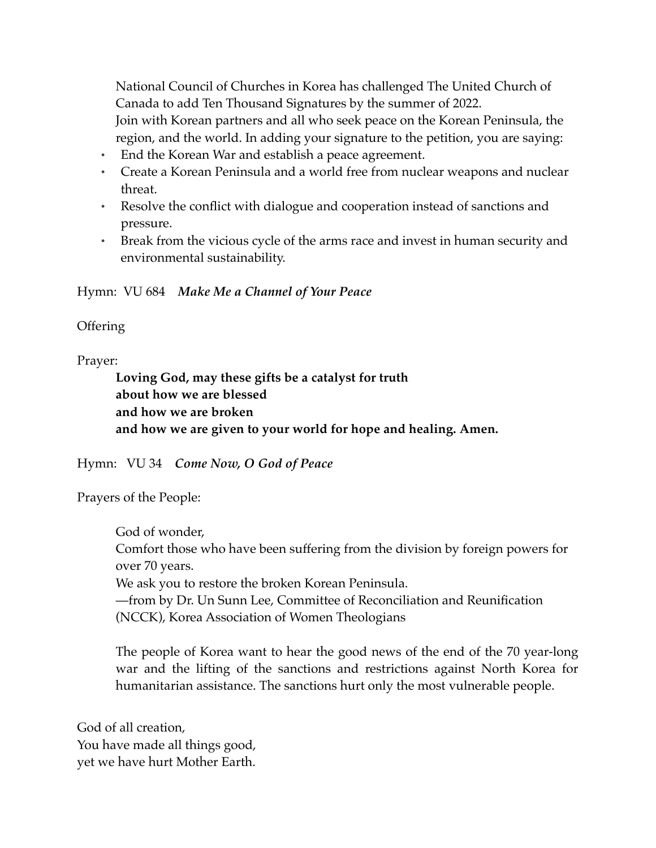National Council of Churches in Korea has challenged The United Church of Canada to add Ten Thousand Signatures by the summer of 2022.

Join with Korean partners and all who seek peace on the Korean Peninsula, the region, and the world. In adding your signature to the petition, you are saying:

- End the Korean War and establish a peace agreement.
- Create a Korean Peninsula and a world free from nuclear weapons and nuclear threat.
- Resolve the conflict with dialogue and cooperation instead of sanctions and pressure.
- Break from the vicious cycle of the arms race and invest in human security and environmental sustainability.

Hymn: VU 684 *Make Me a Channel of Your Peace* 

**Offering** 

Prayer:

**Loving God, may these gifts be a catalyst for truth about how we are blessed and how we are broken and how we are given to your world for hope and healing. Amen.** 

Hymn: VU 34 *Come Now, O God of Peace*

Prayers of the People:

God of wonder, Comfort those who have been suffering from the division by foreign powers for over 70 years. We ask you to restore the broken Korean Peninsula. —from by Dr. Un Sunn Lee, Committee of Reconciliation and Reunification (NCCK), Korea Association of Women Theologians

The people of Korea want to hear the good news of the end of the 70 year-long war and the lifting of the sanctions and restrictions against North Korea for humanitarian assistance. The sanctions hurt only the most vulnerable people.

God of all creation, You have made all things good, yet we have hurt Mother Earth.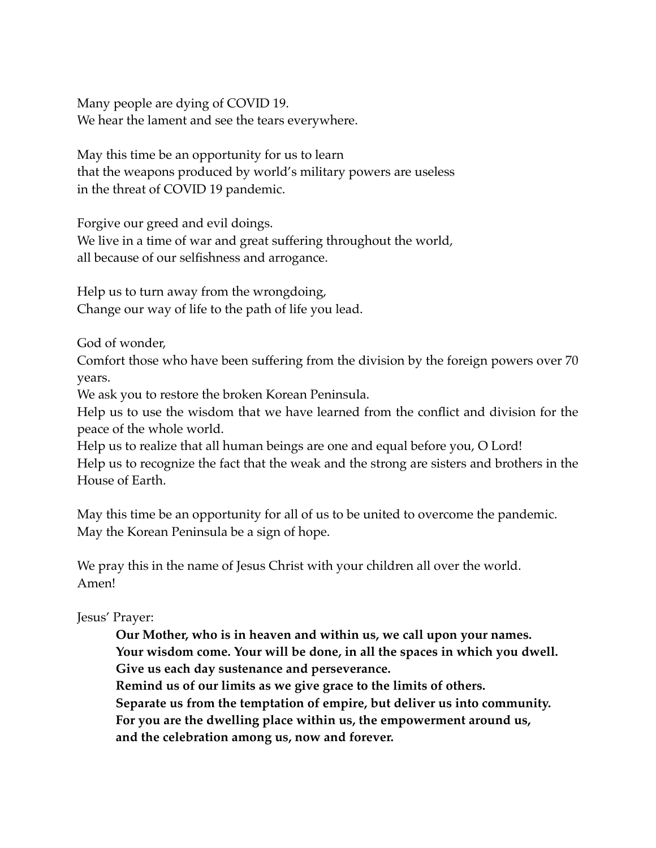Many people are dying of COVID 19. We hear the lament and see the tears everywhere.

May this time be an opportunity for us to learn that the weapons produced by world's military powers are useless in the threat of COVID 19 pandemic.

Forgive our greed and evil doings.

We live in a time of war and great suffering throughout the world, all because of our selfishness and arrogance.

Help us to turn away from the wrongdoing, Change our way of life to the path of life you lead.

God of wonder,

Comfort those who have been suffering from the division by the foreign powers over 70 years.

We ask you to restore the broken Korean Peninsula.

Help us to use the wisdom that we have learned from the conflict and division for the peace of the whole world.

Help us to realize that all human beings are one and equal before you, O Lord! Help us to recognize the fact that the weak and the strong are sisters and brothers in the House of Earth.

May this time be an opportunity for all of us to be united to overcome the pandemic. May the Korean Peninsula be a sign of hope.

We pray this in the name of Jesus Christ with your children all over the world. Amen!

Jesus' Prayer:

**Our Mother, who is in heaven and within us, we call upon your names. Your wisdom come. Your will be done, in all the spaces in which you dwell. Give us each day sustenance and perseverance.** 

**Remind us of our limits as we give grace to the limits of others. Separate us from the temptation of empire, but deliver us into community. For you are the dwelling place within us, the empowerment around us,** 

**and the celebration among us, now and forever.**